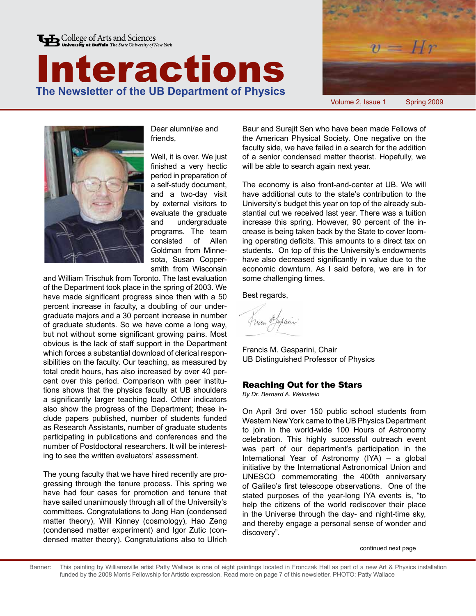







Dear alumni/ae and friends,

Well, it is over. We just finished a very hectic period in preparation of a self-study document, and a two-day visit by external visitors to evaluate the graduate and undergraduate programs. The team consisted of Allen Goldman from Minnesota, Susan Coppersmith from Wisconsin

and William Trischuk from Toronto. The last evaluation of the Department took place in the spring of 2003. We have made significant progress since then with a 50 percent increase in faculty, a doubling of our undergraduate majors and a 30 percent increase in number of graduate students. So we have come a long way, but not without some significant growing pains. Most obvious is the lack of staff support in the Department which forces a substantial download of clerical responsibilities on the faculty. Our teaching, as measured by total credit hours, has also increased by over 40 percent over this period. Comparison with peer institutions shows that the physics faculty at UB shoulders a significantly larger teaching load. Other indicators also show the progress of the Department; these include papers published, number of students funded as Research Assistants, number of graduate students participating in publications and conferences and the number of Postdoctoral researchers. It will be interesting to see the written evaluators' assessment.

The young faculty that we have hired recently are progressing through the tenure process. This spring we have had four cases for promotion and tenure that have sailed unanimously through all of the University's committees. Congratulations to Jong Han (condensed matter theory), Will Kinney (cosmology), Hao Zeng (condensed matter experiment) and Igor Zutic (condensed matter theory). Congratulations also to Ulrich

Baur and Surajit Sen who have been made Fellows of the American Physical Society. One negative on the faculty side, we have failed in a search for the addition of a senior condensed matter theorist. Hopefully, we will be able to search again next year.

The economy is also front-and-center at UB. We will have additional cuts to the state's contribution to the University's budget this year on top of the already substantial cut we received last year. There was a tuition increase this spring. However, 90 percent of the increase is being taken back by the State to cover looming operating deficits. This amounts to a direct tax on students. On top of this the University's endowments have also decreased significantly in value due to the economic downturn. As I said before, we are in for some challenging times.

Best regards,

fracen Mexam

Francis M. Gasparini, Chair UB Distinguished Professor of Physics

### Reaching Out for the Stars

*By Dr. Bernard A. Weinstein*

On April 3rd over 150 public school students from Western New York came to the UB Physics Department to join in the world-wide 100 Hours of Astronomy celebration. This highly successful outreach event was part of our department's participation in the International Year of Astronomy (IYA) – a global initiative by the International Astronomical Union and UNESCO commemorating the 400th anniversary of Galileo's first telescope observations. One of the stated purposes of the year-long IYA events is, "to help the citizens of the world rediscover their place in the Universe through the day- and night-time sky, and thereby engage a personal sense of wonder and discovery".

continued next page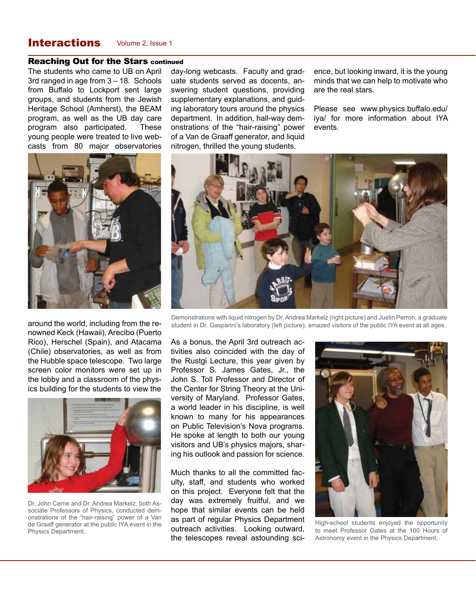## **Interactions** Volume 2, Issue 1

#### Reaching Out for the Stars continued

The students who came to UB on April 3rd ranged in age from 3 – 18. Schools from Buffalo to Lockport sent large groups, and students from the Jewish Heritage School (Amherst), the BEAM program, as well as the UB day care program also participated. These young people were treated to live webcasts from 80 major observatories



around the world, including from the renowned Keck (Hawaii), Arecibo (Puerto Rico), Herschel (Spain), and Atacama (Chile) observatories, as well as from the Hubble space telescope. Two large screen color monitors were set up in the lobby and a classroom of the physics building for the students to view the



Dr. John Cerne and Dr. Andrea Markelz, both Associate Professors of Physics, conducted demonstrations of the "hair-raising" power of a Van de Graaff generator at the public IYA event in the Physics Department.

day-long webcasts. Faculty and graduate students served as docents, answering student questions, providing supplementary explanations, and guiding laboratory tours around the physics department. In addition, hall-way demonstrations of the "hair-raising" power of a Van de Graaff generator, and liquid nitrogen, thrilled the young students.

ence, but looking inward, it is the young minds that we can help to motivate who are the real stars.

Please see www.physics.buffalo.edu/ iya/ for more information about IYA events.



Demonstrations with liquid nitrogen by Dr. Andrea Markelz (right picture) and Justin Perron, a graduate student in Dr. Gasparini's laboratory (left picture), amazed visitors of the public IYA event at all ages.

As a bonus, the April 3rd outreach activities also coincided with the day of the Rustgi Lecture, this year given by Professor S. James Gates, Jr., the John S. Toll Professor and Director of the Center for String Theory at the University of Maryland. Professor Gates, a world leader in his discipline, is well known to many for his appearances on Public Television's Nova programs. He spoke at length to both our young visitors and UB's physics majors, sharing his outlook and passion for science.

Much thanks to all the committed faculty, staff, and students who worked on this project. Everyone felt that the day was extremely fruitful, and we hope that similar events can be held as part of regular Physics Department outreach activities. Looking outward, the telescopes reveal astounding sci-



High-school students enjoyed the opportunity to meet Professor Gates at the 100 Hours of Astronomy event in the Physics Department.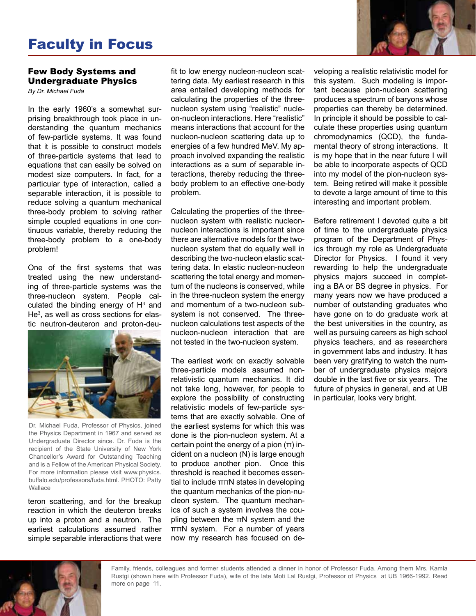## Faculty in Focus

#### Few Body Systems and Undergraduate Physics

*By Dr. Michael Fuda*

In the early 1960's a somewhat surprising breakthrough took place in understanding the quantum mechanics of few-particle systems. It was found that it is possible to construct models of three-particle systems that lead to equations that can easily be solved on modest size computers. In fact, for a particular type of interaction, called a separable interaction, it is possible to reduce solving a quantum mechanical three-body problem to solving rather simple coupled equations in one continuous variable, thereby reducing the three-body problem to a one-body problem!

One of the first systems that was treated using the new understanding of three-particle systems was the three-nucleon system. People calculated the binding energy of  $H<sup>3</sup>$  and He<sup>3</sup>, as well as cross sections for elastic neutron-deuteron and proton-deu-



Dr. Michael Fuda, Professor of Physics, joined the Physics Department in 1967 and served as Undergraduate Director since. Dr. Fuda is the recipient of the State University of New York Chancellor's Award for Outstanding Teaching and is a Fellow of the American Physical Society. For more information please visit www.physics. buffalo.edu/professors/fuda.html. PHOTO: Patty **Wallace** 

teron scattering, and for the breakup reaction in which the deuteron breaks up into a proton and a neutron. The earliest calculations assumed rather simple separable interactions that were

fit to low energy nucleon-nucleon scattering data. My earliest research in this area entailed developing methods for calculating the properties of the threenucleon system using "realistic" nucleon-nucleon interactions. Here "realistic" means interactions that account for the nucleon-nucleon scattering data up to energies of a few hundred MeV. My approach involved expanding the realistic interactions as a sum of separable interactions, thereby reducing the threebody problem to an effective one-body problem.

Calculating the properties of the threenucleon system with realistic nucleonnucleon interactions is important since there are alternative models for the twonucleon system that do equally well in describing the two-nucleon elastic scattering data. In elastic nucleon-nucleon scattering the total energy and momentum of the nucleons is conserved, while in the three-nucleon system the energy and momentum of a two-nucleon subsystem is not conserved. The threenucleon calculations test aspects of the nucleon-nucleon interaction that are not tested in the two-nucleon system.

The earliest work on exactly solvable three-particle models assumed nonrelativistic quantum mechanics. It did not take long, however, for people to explore the possibility of constructing relativistic models of few-particle systems that are exactly solvable. One of the earliest systems for which this was done is the pion-nucleon system. At a certain point the energy of a pion  $(π)$  incident on a nucleon (N) is large enough to produce another pion. Once this threshold is reached it becomes essential to include ππN states in developing the quantum mechanics of the pion-nucleon system. The quantum mechanics of such a system involves the coupling between the  $πN$  system and the ππN system. For a number of years now my research has focused on developing a realistic relativistic model for this system. Such modeling is important because pion-nucleon scattering produces a spectrum of baryons whose properties can thereby be determined. In principle it should be possible to calculate these properties using quantum chromodynamics (QCD), the fundamental theory of strong interactions. It is my hope that in the near future I will be able to incorporate aspects of QCD into my model of the pion-nucleon system. Being retired will make it possible to devote a large amount of time to this interesting and important problem.

Before retirement I devoted quite a bit of time to the undergraduate physics program of the Department of Physics through my role as Undergraduate Director for Physics. I found it very rewarding to help the undergraduate physics majors succeed in completing a BA or BS degree in physics. For many years now we have produced a number of outstanding graduates who have gone on to do graduate work at the best universities in the country, as well as pursuing careers as high school physics teachers, and as researchers in government labs and industry. It has been very gratifying to watch the number of undergraduate physics majors double in the last five or six years. The future of physics in general, and at UB in particular, looks very bright.



Family, friends, colleagues and former students attended a dinner in honor of Professor Fuda. Among them Mrs. Kamla Rustgi (shown here with Professor Fuda), wife of the late Moti Lal Rustgi, Professor of Physics at UB 1966-1992. Read more on page 11.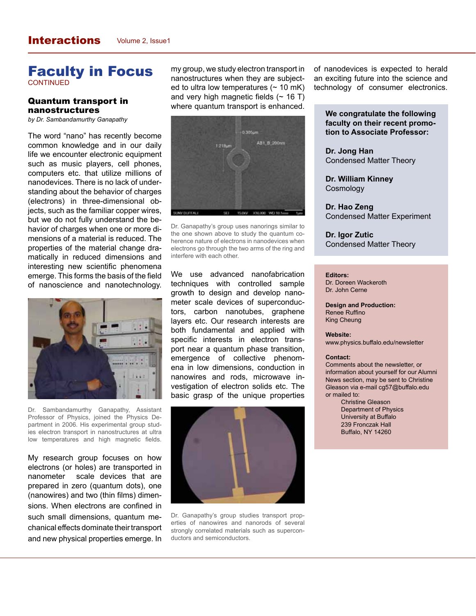## Faculty in Focus **CONTINUED**

#### Quantum transport in nanostructures

*by Dr. Sambandamurthy Ganapathy*

The word "nano" has recently become common knowledge and in our daily life we encounter electronic equipment such as music players, cell phones, computers etc. that utilize millions of nanodevices. There is no lack of understanding about the behavior of charges (electrons) in three-dimensional objects, such as the familiar copper wires, but we do not fully understand the behavior of charges when one or more dimensions of a material is reduced. The properties of the material change dramatically in reduced dimensions and interesting new scientific phenomena emerge. This forms the basis of the field of nanoscience and nanotechnology.



Dr. Sambandamurthy Ganapathy, Assistant Professor of Physics, joined the Physics Department in 2006. His experimental group studies electron transport in nanostructures at ultra low temperatures and high magnetic fields.

My research group focuses on how electrons (or holes) are transported in nanometer scale devices that are prepared in zero (quantum dots), one (nanowires) and two (thin films) dimensions. When electrons are confined in such small dimensions, quantum mechanical effects dominate their transport and new physical properties emerge. In my group, we study electron transport in nanostructures when they are subjected to ultra low temperatures  $($   $\sim$  10 mK) and very high magnetic fields  $($   $\sim$  16 T) where quantum transport is enhanced.



Dr. Ganapathy's group uses nanorings similar to the one shown above to study the quantum coherence nature of electrons in nanodevices when electrons go through the two arms of the ring and interfere with each other.

We use advanced nanofabrication techniques with controlled sample growth to design and develop nanometer scale devices of superconductors, carbon nanotubes, graphene layers etc. Our research interests are both fundamental and applied with specific interests in electron transport near a quantum phase transition, emergence of collective phenomena in low dimensions, conduction in nanowires and rods, microwave investigation of electron solids etc. The basic grasp of the unique properties



Dr. Ganapathy's group studies transport properties of nanowires and nanorods of several strongly correlated materials such as superconductors and semiconductors.

of nanodevices is expected to herald an exciting future into the science and technology of consumer electronics.

#### **We congratulate the following faculty on their recent promotion to Associate Professor:**

**Dr. Jong Han** Condensed Matter Theory

**Dr. William Kinney**  Cosmology

**Dr. Hao Zeng**  Condensed Matter Experiment

**Dr. Igor Zutic**  Condensed Matter Theory

#### **Editors:**

Dr. Doreen Wackeroth Dr. John Cerne

**Design and Production:** Renee Ruffino King Cheung

#### **Website:**

www.physics.buffalo.edu/newsletter

#### **Contact:**

Comments about the newsletter, or information about yourself for our Alumni News section, may be sent to Christine Gleason via e-mail cg57@buffalo.edu or mailed to:

> Christine Gleason Department of Physics University at Buffalo 239 Fronczak Hall Buffalo, NY 14260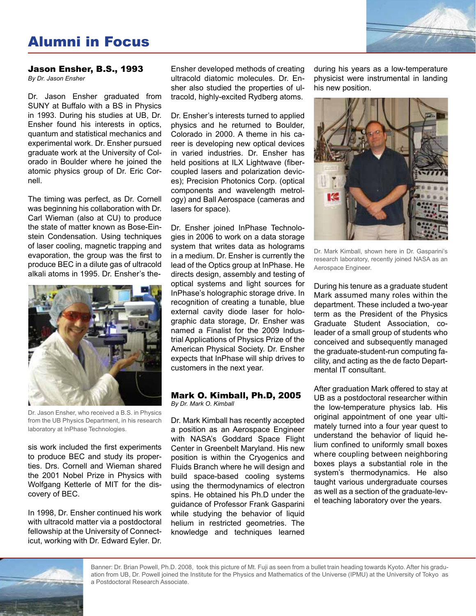# Alumni in Focus



## Jason Ensher, B.S., 1993

*By Dr. Jason Ensher*

Dr. Jason Ensher graduated from SUNY at Buffalo with a BS in Physics in 1993. During his studies at UB, Dr. Ensher found his interests in optics, quantum and statistical mechanics and experimental work. Dr. Ensher pursued graduate work at the University of Colorado in Boulder where he joined the atomic physics group of Dr. Eric Cornell.

The timing was perfect, as Dr. Cornell was beginning his collaboration with Dr. Carl Wieman (also at CU) to produce the state of matter known as Bose-Einstein Condensation. Using techniques of laser cooling, magnetic trapping and evaporation, the group was the first to produce BEC in a dilute gas of ultracold alkali atoms in 1995. Dr. Ensher's the-



Dr. Jason Ensher, who received a B.S. in Physics from the UB Physics Department, in his research laboratory at InPhase Technologies.

sis work included the first experiments to produce BEC and study its properties. Drs. Cornell and Wieman shared the 2001 Nobel Prize in Physics with Wolfgang Ketterle of MIT for the discovery of BEC.

In 1998, Dr. Ensher continued his work with ultracold matter via a postdoctoral fellowship at the University of Connecticut, working with Dr. Edward Eyler. Dr.

Ensher developed methods of creating ultracold diatomic molecules. Dr. Ensher also studied the properties of ultracold, highly-excited Rydberg atoms.

Dr. Ensher's interests turned to applied physics and he returned to Boulder, Colorado in 2000. A theme in his career is developing new optical devices in varied industries. Dr. Ensher has held positions at ILX Lightwave (fibercoupled lasers and polarization devices); Precision Photonics Corp. (optical components and wavelength metrology) and Ball Aerospace (cameras and lasers for space).

Dr. Ensher joined InPhase Technologies in 2006 to work on a data storage system that writes data as holograms in a medium. Dr. Ensher is currently the lead of the Optics group at InPhase. He directs design, assembly and testing of optical systems and light sources for InPhase's holographic storage drive. In recognition of creating a tunable, blue external cavity diode laser for holographic data storage, Dr. Ensher was named a Finalist for the 2009 Industrial Applications of Physics Prize of the American Physical Society. Dr. Ensher expects that InPhase will ship drives to customers in the next year.

#### Mark O. Kimball, Ph.D, 2005 *By Dr. Mark O. Kimball*

Dr. Mark Kimball has recently accepted a position as an Aerospace Engineer with NASA's Goddard Space Flight Center in Greenbelt Maryland. His new position is within the Cryogenics and Fluids Branch where he will design and build space-based cooling systems using the thermodynamics of electron spins. He obtained his Ph.D under the guidance of Professor Frank Gasparini while studying the behavior of liquid helium in restricted geometries. The knowledge and techniques learned during his years as a low-temperature physicist were instrumental in landing his new position.



Dr. Mark Kimball, shown here in Dr. Gasparini's research laboratory, recently joined NASA as an Aerospace Engineer.

During his tenure as a graduate student Mark assumed many roles within the department. These included a two-year term as the President of the Physics Graduate Student Association, coleader of a small group of students who conceived and subsequently managed the graduate-student-run computing facility, and acting as the de facto Departmental IT consultant.

After graduation Mark offered to stay at UB as a postdoctoral researcher within the low-temperature physics lab. His original appointment of one year ultimately turned into a four year quest to understand the behavior of liquid helium confined to uniformly small boxes where coupling between neighboring boxes plays a substantial role in the system's thermodynamics. He also taught various undergraduate courses as well as a section of the graduate-level teaching laboratory over the years.



Banner: Dr. Brian Powell, Ph.D. 2008, took this picture of Mt. Fuji as seen from a bullet train heading towards Kyoto. After his graduation from UB, Dr. Powell joined the Institute for the Physics and Mathematics of the Universe (IPMU) at the University of Tokyo as a Postdoctoral Research Associate.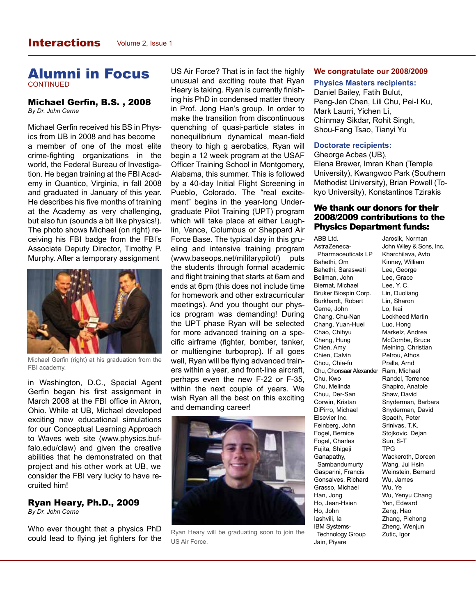### Alumni in Focus **CONTINUED**

#### Michael Gerfin, B.S. , 2008 *By Dr. John Cerne*

Michael Gerfin received his BS in Physics from UB in 2008 and has become a member of one of the most elite crime-fighting organizations in the world, the Federal Bureau of Investigation. He began training at the FBI Academy in Quantico, Virginia, in fall 2008 and graduated in January of this year. He describes his five months of training at the Academy as very challenging, but also fun (sounds a bit like physics!). The photo shows Michael (on right) receiving his FBI badge from the FBI's Associate Deputy Director, Timothy P. Murphy. After a temporary assignment



Michael Gerfin (right) at his graduation from the FBI academy.

in Washington, D.C., Special Agent Gerfin began his first assignment in March 2008 at the FBI office in Akron, Ohio. While at UB, Michael developed exciting new educational simulations for our Conceptual Learning Approach to Waves web site (www.physics.buffalo.edu/claw) and given the creative abilities that he demonstrated on that project and his other work at UB, we consider the FBI very lucky to have recruited him!

### Ryan Heary, Ph.D., 2009

*By Dr. John Cerne*

Who ever thought that a physics PhD could lead to flying jet fighters for the

US Air Force? That is in fact the highly unusual and exciting route that Ryan Heary is taking. Ryan is currently finishing his PhD in condensed matter theory in Prof. Jong Han's group. In order to make the transition from discontinuous quenching of quasi-particle states in nonequilibrium dynamical mean-field theory to high g aerobatics, Ryan will begin a 12 week program at the USAF Officer Training School in Montgomery, Alabama, this summer. This is followed by a 40-day Initial Flight Screening in Pueblo, Colorado. The "real excitement" begins in the year-long Undergraduate Pilot Training (UPT) program which will take place at either Laughlin, Vance, Columbus or Sheppard Air Force Base. The typical day in this grueling and intensive training program (www.baseops.net/militarypilot/) puts the students through formal academic and flight training that starts at 6am and ends at 6pm (this does not include time for homework and other extracurricular meetings). And you thought our physics program was demanding! During the UPT phase Ryan will be selected for more advanced training on a specific airframe (fighter, bomber, tanker, or multiengine turboprop). If all goes well, Ryan will be flying advanced trainers within a year, and front-line aircraft, perhaps even the new F-22 or F-35, within the next couple of years. We wish Ryan all the best on this exciting and demanding career!



Ryan Heary will be graduating soon to join the US Air Force.

#### **We congratulate our 2008/2009**

#### **Physics Masters recipients:**

Daniel Bailey, Fatih Bulut, Peng-Jen Chen, Lili Chu, Pei-I Ku, Mark Laurri, Yichen Li, Chinmay Sikdar, Rohit Singh, Shou-Fang Tsao, Tianyi Yu

#### **Doctorate recipients:**

ABB Ltd.

Gheorge Acbas (UB), Elena Brewer, Imran Khan (Temple University), Kwangwoo Park (Southern Methodist University), Brian Powell (Tokyo University), Konstantinos Tzirakis

#### We thank our donors for their 2008/2009 contributions to the Physics Department funds:

AstraZeneca- Pharmaceuticals LP Bahethi, Om Bahethi, Saraswati Beilman, John Biernat, Michael Bruker Biospin Corp. Burkhardt, Robert Cerne, John Chang, Chu-Nan Chang, Yuan-Huei Chao, Chihyu Cheng, Hung Chien, Amy Chien, Calvin Chou, Chia-fu Chu, Chonsaar Alexander Ram, Michael Chu, Kwo Chu, Melinda Chuu, Der-San Corwin, Kristan DiPirro, Michael Elsevier Inc. Feinberg, John Fogel, Bernice Fogel, Charles Fujita, Shigeji Ganapathy, Sambandumurty Gasparini, Francis Gonsalves, Richard Grasso, Michael Han, Jong Ho, Jean-Hsien Ho, John Iashvili, Ia IBM Systems- Technology Group Jain, Piyare

Jarosik, Norman John Wiley & Sons, Inc. Kharchilava, Avto Kinney, William Lee, George Lee, Grace Lee, Y. C. Lin, Duoliang Lin, Sharon Lo, Ikai Lockheed Martin Luo, Hong Markelz, Andrea McCombe, Bruce Meining, Christian Petrou, Athos Pralle, Arnd Randel, Terrence Shapiro, Anatole Shaw, David Snyderman, Barbara Snyderman, David Spaeth, Peter Srinivas, T.K. Stojkovic, Dejan Sun, S-T TPG Wackeroth, Doreen Wang, Jui Hsin Weinstein, Bernard Wu, James Wu, Ye Wu, Yenyu Chang Yen, Edward Zeng, Hao Zhang, Piehong Zheng, Wenjun Zutic, Igor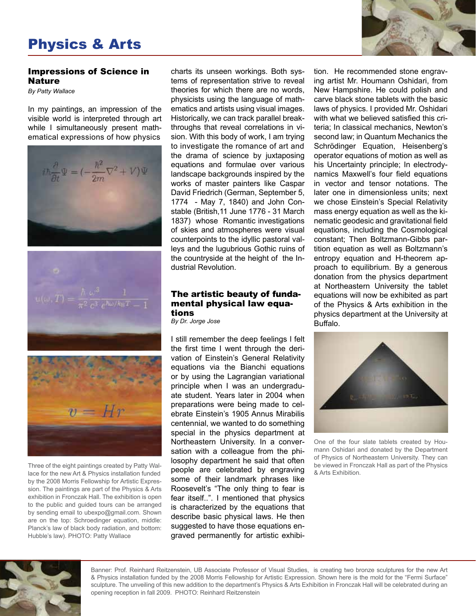# Physics & Arts

#### Impressions of Science in Nature

*By Patty Wallace*

In my paintings, an impression of the visible world is interpreted through art while I simultaneously present mathematical expressions of how physics







Three of the eight paintings created by Patty Wallace for the new Art & Physics installation funded by the 2008 Morris Fellowship for Artistic Expression. The paintings are part of the Physics & Arts exhibition in Fronczak Hall. The exhibition is open to the public and guided tours can be arranged by sending email to ubexpo@gmail.com. Shown are on the top: Schroedinger equation, middle: Planck's law of black body radiation, and bottom: Hubble's law). PHOTO: Patty Wallace

charts its unseen workings. Both systems of representation strive to reveal theories for which there are no words, physicists using the language of mathematics and artists using visual images. Historically, we can track parallel breakthroughs that reveal correlations in vision. With this body of work, I am trying to investigate the romance of art and the drama of science by juxtaposing equations and formulae over various landscape backgrounds inspired by the works of master painters like Caspar David Friedrich (German, September 5, 1774 - May 7, 1840) and John Constable (British,11 June 1776 - 31 March 1837) whose Romantic investigations of skies and atmospheres were visual counterpoints to the idyllic pastoral valleys and the lugubrious Gothic ruins of the countryside at the height of the Industrial Revolution.

#### The artistic beauty of fundamental physical law equations

*By Dr. Jorge Jose*

I still remember the deep feelings I felt the first time I went through the derivation of Einstein's General Relativity equations via the Bianchi equations or by using the Lagrangian variational principle when I was an undergraduate student. Years later in 2004 when preparations were being made to celebrate Einstein's 1905 Annus Mirabilis centennial, we wanted to do something special in the physics department at Northeastern University. In a conversation with a colleague from the philosophy department he said that often people are celebrated by engraving some of their landmark phrases like Roosevelt's "The only thing to fear is fear itself..". I mentioned that physics is characterized by the equations that describe basic physical laws. He then suggested to have those equations engraved permanently for artistic exhibition. He recommended stone engraving artist Mr. Houmann Oshidari, from New Hampshire. He could polish and carve black stone tablets with the basic laws of physics. I provided Mr. Oshidari with what we believed satisfied this criteria; In classical mechanics, Newton's second law; in Quantum Mechanics the Schrödinger Equation, Heisenberg's operator equations of motion as well as his Uncertainty principle; In electrodynamics Maxwell's four field equations in vector and tensor notations. The later one in dimensionless units; next we chose Einstein's Special Relativity mass energy equation as well as the kinematic geodesic and gravitational field equations, including the Cosmological constant; Then Boltzmann-Gibbs partition equation as well as Boltzmann's entropy equation and H-theorem approach to equilibrium. By a generous donation from the physics department at Northeastern University the tablet equations will now be exhibited as part of the Physics & Arts exhibition in the physics department at the University at Buffalo.



One of the four slate tablets created by Houmann Oshidari and donated by the Department of Physics of Northeastern University. They can be viewed in Fronczak Hall as part of the Physics & Arts Exhibition.



Banner: Prof. Reinhard Reitzenstein, UB Associate Professor of Visual Studies, is creating two bronze sculptures for the new Art & Physics installation funded by the 2008 Morris Fellowship for Artistic Expression. Shown here is the mold for the "Fermi Surface" sculpture. The unveiling of this new addition to the department's Physics & Arts Exhibition in Fronczak Hall will be celebrated during an opening reception in fall 2009. PHOTO: Reinhard Reitzenstein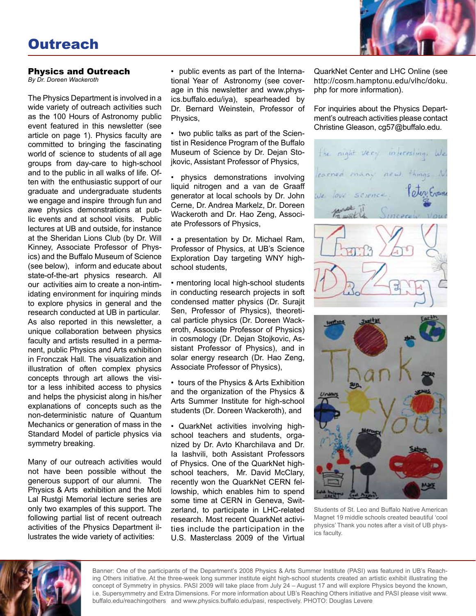

#### Physics and Outreach

*By Dr. Doreen Wackeroth*

The Physics Department is involved in a wide variety of outreach activities such as the 100 Hours of Astronomy public event featured in this newsletter (see article on page 1). Physics faculty are committed to bringing the fascinating world of science to students of all age groups from day-care to high-school and to the public in all walks of life. Often with the enthusiastic support of our graduate and undergraduate students we engage and inspire through fun and awe physics demonstrations at public events and at school visits. Public lectures at UB and outside, for instance at the Sheridan Lions Club (by Dr. Will Kinney, Associate Professor of Physics) and the Buffalo Museum of Science (see below), inform and educate about state-of-the-art physics research. All our activities aim to create a non-intimidating environment for inquiring minds to explore physics in general and the research conducted at UB in particular. As also reported in this newsletter, a unique collaboration between physics faculty and artists resulted in a permanent, public Physics and Arts exhibition in Fronczak Hall. The visualization and illustration of often complex physics concepts through art allows the visitor a less inhibited access to physics and helps the physicist along in his/her explanations of concepts such as the non-deterministic nature of Quantum Mechanics or generation of mass in the Standard Model of particle physics via symmetry breaking.

Many of our outreach activities would not have been possible without the generous support of our alumni. The Physics & Arts exhibition and the Moti Lal Rustgi Memorial lecture series are only two examples of this support. The following partial list of recent outreach activities of the Physics Department illustrates the wide variety of activities:

• public events as part of the International Year of Astronomy (see coverage in this newsletter and www.physics.buffalo.edu/iya), spearheaded by Dr. Bernard Weinstein, Professor of Physics,

• two public talks as part of the Scientist in Residence Program of the Buffalo Museum of Science by Dr. Dejan Stojkovic, Assistant Professor of Physics,

• physics demonstrations involving liquid nitrogen and a van de Graaff generator at local schools by Dr. John Cerne, Dr. Andrea Markelz, Dr. Doreen Wackeroth and Dr. Hao Zeng, Associate Professors of Physics,

• a presentation by Dr. Michael Ram, Professor of Physics, at UB's Science Exploration Day targeting WNY highschool students,

• mentoring local high-school students in conducting research projects in soft condensed matter physics (Dr. Surajit Sen, Professor of Physics), theoretical particle physics (Dr. Doreen Wackeroth, Associate Professor of Physics) in cosmology (Dr. Dejan Stojkovic, Assistant Professor of Physics), and in solar energy research (Dr. Hao Zeng, Associate Professor of Physics),

• tours of the Physics & Arts Exhibition and the organization of the Physics & Arts Summer Institute for high-school students (Dr. Doreen Wackeroth), and

• QuarkNet activities involving highschool teachers and students, organized by Dr. Avto Kharchilava and Dr. Ia Iashvili, both Assistant Professors of Physics. One of the QuarkNet highschool teachers, Mr. David McClary, recently won the QuarkNet CERN fellowship, which enables him to spend some time at CERN in Geneva, Switzerland, to participate in LHC-related research. Most recent QuarkNet activities include the participation in the U.S. Masterclass 2009 of the Virtual QuarkNet Center and LHC Online (see http://cosm.hamptonu.edu/vlhc/doku. php for more information).

For inquiries about the Physics Department's outreach activities please contact Christine Gleason, cg57@buffalo.edu.





Students of St. Leo and Buffalo Native American Magnet 19 middle schools created beautiful 'cool physics' Thank you notes after a visit of UB physics faculty.



Banner: One of the participants of the Department's 2008 Physics & Arts Summer Institute (PASI) was featured in UB's Reaching Others initiative. At the three-week long summer institute eight high-school students created an artistic exhibit illustrating the concept of Symmetry in physics. PASI 2009 will take place from July 24 – August 17 and will explore Physics beyond the known, i.e. Supersymmetry and Extra Dimensions. For more information about UB's Reaching Others initiative and PASI please visit www. buffalo.edu/reachingothers and www.physics.buffalo.edu/pasi, respectively. PHOTO: Douglas Levere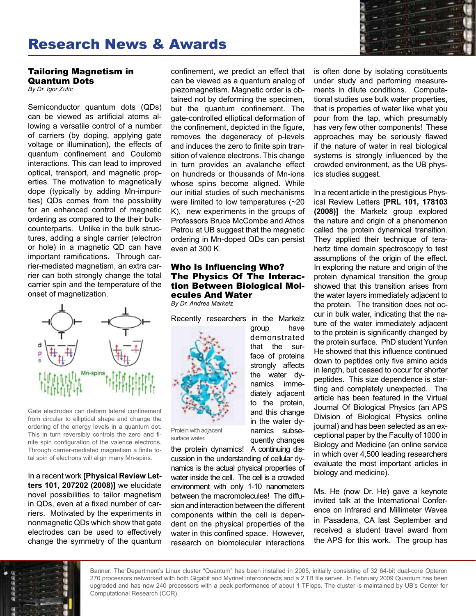

#### Tailoring Magnetism in Quantum Dots

*By Dr. Igor Zutic*

Semiconductor quantum dots (QDs) can be viewed as artificial atoms allowing a versatile control of a number of carriers (by doping, applying gate voltage or illumination), the effects of quantum confinement and Coulomb interactions. This can lead to improved optical, transport, and magnetic properties. The motivation to magnetically dope (typically by adding Mn-impurities) QDs comes from the possibility for an enhanced control of magnetic ordering as compared to the their bulkcounterparts. Unlike in the bulk structures, adding a single carrier (electron or hole) in a magnetic QD can have important ramifications. Through carrier-mediated magnetism, an extra carrier can both strongly change the total carrier spin and the temperature of the onset of magnetization.



Gate electrodes can deform lateral confinement from circular to elliptical shape and change the ordering of the energy levels in a quantum dot. This in turn reversibly controls the zero and finite spin configuration of the valence electrons. Through carrier-mediated magnetism a finite total spin of electrons will align many Mn-spins.

In a recent work **[Physical Review Letters 101, 207202 (2008)]** we elucidate novel possibilities to tailor magnetism in QDs, even at a fixed number of carriers. Motivated by the experiments in nonmagnetic QDs which show that gate electrodes can be used to effectively change the symmetry of the quantum

confinement, we predict an effect that can be viewed as a quantum analog of piezomagnetism. Magnetic order is obtained not by deforming the specimen, but the quantum confinement. The gate-controlled elliptical deformation of the confinement, depicted in the figure, removes the degeneracy of p-levels and induces the zero to finite spin transition of valence electrons. This change in turn provides an avalanche effect on hundreds or thousands of Mn-ions whose spins become aligned. While our initial studies of such mechanisms were limited to low temperatures (~20 K), new experiments in the groups of Professors Bruce McCombe and Athos Petrou at UB suggest that the magnetic ordering in Mn-doped QDs can persist even at 300 K.

#### Who Is Influencing Who? The Physics Of The Interaction Between Biological Molecules And Water

*By Dr. Andrea Markelz*

Recently researchers in the Markelz

group have demonstrated that the surface of proteins strongly affects the water dynamics immediately adjacent to the protein, and this change in the water dynamics subsequently changes



Protein with adjacent surface water.

the protein dynamics! A continuing discussion in the understanding of cellular dynamics is the actual physical properties of water inside the cell. The cell is a crowded environment with only 1-10 nanometers between the macromolecules! The diffusion and interaction between the different components within the cell is dependent on the physical properties of the water in this confined space. However, research on biomolecular interactions is often done by isolating constituents under study and perfoming measurements in dilute conditions. Computational studies use bulk water properties, that is properties of water like what you pour from the tap, which presumably has very few other components! These approaches may be seriously flawed if the nature of water in real biological systems is strongly influenced by the crowded environment, as the UB physics studies suggest.

In a recent article in the prestigious Physical Review Letters **[PRL 101, 178103 (2008)]** the Markelz group explored the nature and origin of a phenomenon called the protein dynamical transition. They applied their technique of terahertz time domain spectroscopy to test assumptions of the origin of the effect. In exploring the nature and origin of the protein dynamical transition the group showed that this transition arises from the water layers immediately adjacent to the protein. The transition does not occur in bulk water, indicating that the nature of the water immediately adjacent to the protein is significantly changed by the protein surface. PhD student Yunfen He showed that this influence continued down to peptides only five amino acids in length, but ceased to occur for shorter peptides. This size dependence is startling and completely unexpected. The article has been featured in the Virtual Journal Of Biological Physics (an APS Division of Biological Physics online journal) and has been selected as an exceptional paper by the Faculty of 1000 in Biology and Medicine (an online service in which over 4,500 leading researchers evaluate the most important articles in biology and medicine).

Ms. He (now Dr. He) gave a keynote invited talk at the International Conference on Infrared and Millimeter Waves in Pasadena, CA last September and received a student travel award from the APS for this work. The group has



Banner: The Department's Linux cluster "Quantum" has been installed in 2005, initially consisting of 32 64-bit dual-core Opteron 270 processors networked with both Gigabit and Myrinet interconnects and a 2 TB file server. In February 2009 Quantum has been upgraded and has now 240 processors with a peak performance of about 1 TFlops. The cluster is maintained by UB's Center for Computational Research (CCR).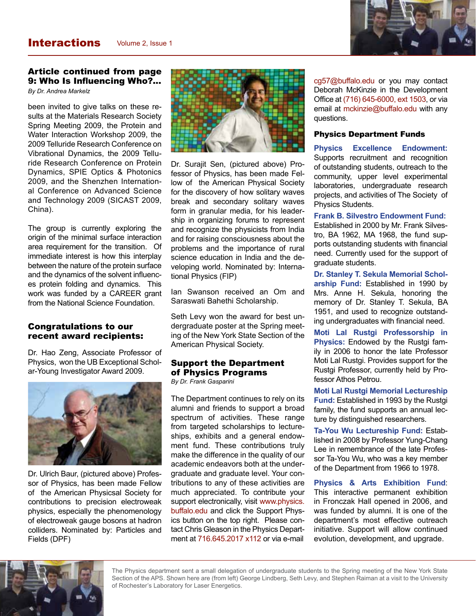

## Article continued from page 9: Who Is Influencing Who?...

*By Dr. Andrea Markelz*

been invited to give talks on these results at the Materials Research Society Spring Meeting 2009, the Protein and Water Interaction Workshop 2009, the 2009 Telluride Research Conference on Vibrational Dynamics, the 2009 Telluride Research Conference on Protein Dynamics, SPIE Optics & Photonics 2009, and the Shenzhen International Conference on Advanced Science and Technology 2009 (SICAST 2009, China).

The group is currently exploring the origin of the minimal surface interaction area requirement for the transition. Of immediate interest is how this interplay between the nature of the protein surface and the dynamics of the solvent influences protein folding and dynamics. This work was funded by a CAREER grant from the National Science Foundation.

#### Congratulations to our recent award recipients:

Dr. Hao Zeng, Associate Professor of Physics, won the UB Exceptional Scholar-Young Investigator Award 2009.



Dr. Ulrich Baur, (pictured above) Professor of Physics, has been made Fellow of the American Physicsal Society for contributions to precision electroweak physics, especially the phenomenology of electroweak gauge bosons at hadron colliders. Nominated by: Particles and Fields (DPF)



Dr. Surajit Sen, (pictured above) Professor of Physics, has been made Fellow of the American Physical Society for the discovery of how solitary waves break and secondary solitary waves form in granular media, for his leadership in organizing forums to represent and recognize the physicists from India and for raising consciousness about the problems and the importance of rural science education in India and the developing world. Nominated by: International Physics (FIP)

Ian Swanson received an Om and Saraswati Bahethi Scholarship.

Seth Levy won the award for best undergraduate poster at the Spring meeting of the New York State Section of the American Physical Society.

## Support the Department of Physics Programs

*By Dr. Frank Gasparini*

The Department continues to rely on its alumni and friends to support a broad spectrum of activities. These range from targeted scholarships to lectureships, exhibits and a general endowment fund. These contributions truly make the difference in the quality of our academic endeavors both at the undergraduate and graduate level. Your contributions to any of these activities are much appreciated. To contribute your support electronically, visit www.physics. buffalo.edu and click the Support Physics button on the top right. Please contact Chris Gleason in the Physics Department at 716.645.2017 x112 or via e-mail

cg57@buffalo.edu or you may contact Deborah McKinzie in the Development Office at (716) 645-6000, ext 1503, or via email at mckinzie@buffalo.edu with any questions.

#### Physics Department Funds

**Physics Excellence Endowment:**  Supports recruitment and recognition of outstanding students, outreach to the community, upper level experimental laboratories, undergraduate research projects, and activities of The Society of Physics Students.

**Frank B. Silvestro Endowment Fund:** Established in 2000 by Mr. Frank Silvestro, BA 1962, MA 1968, the fund supports outstanding students with financial need. Currently used for the support of graduate students.

**Dr. Stanley T. Sekula Memorial Scholarship Fund:** Established in 1990 by Mrs. Anne H. Sekula, honoring the memory of Dr. Stanley T. Sekula, BA 1951, and used to recognize outstanding undergraduates with financial need.

**Moti Lal Rustgi Professorship in Physics:** Endowed by the Rustgi family in 2006 to honor the late Professor Moti Lal Rustgi. Provides support for the Rustgi Professor, currently held by Professor Athos Petrou.

**Moti Lal Rustgi Memorial Lectureship Fund:** Established in 1993 by the Rustgi family, the fund supports an annual lecture by distinguished researchers.

**Ta-You Wu Lectureship Fund:** Established in 2008 by Professor Yung-Chang Lee in remembrance of the late Professor Ta-You Wu, who was a key member of the Department from 1966 to 1978.

**Physics & Arts Exhibition Fund**: This interactive permanent exhibition in Fronczak Hall opened in 2006, and was funded by alumni. It is one of the department's most effective outreach initiative. Support will allow continued evolution, development, and upgrade.



The Physics department sent a small delegation of undergraduate students to the Spring meeting of the New York State Section of the APS. Shown here are (from left) George Lindberg, Seth Levy, and Stephen Raiman at a visit to the University of Rochester's Laboratory for Laser Energetics.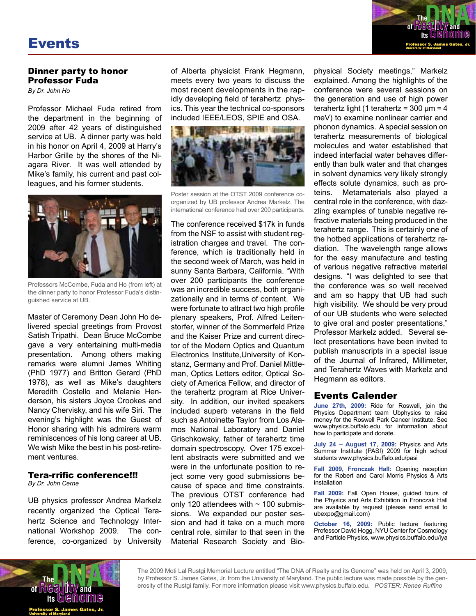

A distinguished string theorist working at the cutting edge of physics, Sylvester James

#### Dinner party to honor Professor Fuda

*By Dr. John Ho*

Professor Michael Fuda retired from the department in the beginning of 2009 after 42 years of distinguished service at UB. A dinner party was held in his honor on April 4, 2009 at Harry's Harbor Grille by the shores of the Niagara River. It was well attended by Mike's family, his current and past colleagues, and his former students.



Professors McCombe, Fuda and Ho (from left) at the dinner party to honor Professor Fuda's distinguished service at UB.

Master of Ceremony Dean John Ho delivered special greetings from Provost Satish Tripathi. Dean Bruce McCombe gave a very entertaining multi-media presentation. Among others making remarks were alumni James Whiting (PhD 1977) and Britton Gerard (PhD 1978), as well as Mike's daughters Meredith Costello and Melanie Henderson, his sisters Joyce Crookes and Nancy Chervisky, and his wife Siri. The evening's highlight was the Guest of Honor sharing with his admirers warm reminiscences of his long career at UB. We wish Mike the best in his post-retirement ventures.

## Tera-rrific conference!!!

*By Dr. John Cerne*

UB physics professor Andrea Markelz recently organized the Optical Terahertz Science and Technology International Workshop 2009. The conference, co-organized by University

of Alberta physicist Frank Hegmann, meets every two years to discuss the most recent developments in the rapidly developing field of terahertz physics. This year the technical co-sponsors included IEEE/LEOS, SPIE and OSA.



Poster session at the OTST 2009 conference coorganized by UB professor Andrea Markelz. The international conference had over 200 participants.

The conference received \$17k in funds from the NSF to assist with student registration charges and travel. The conference, which is traditionally held in the second week of March, was held in sunny Santa Barbara, California. "With over 200 participants the conference was an incredible success, both organizationally and in terms of content. We were fortunate to attract two high profile plenary speakers, Prof. Alfred Leitenstorfer, winner of the Sommerfeld Prize and the Kaiser Prize and current director of the Modern Optics and Quantum Electronics Institute,University of Konstanz, Germany and Prof. Daniel Mittleman, Optics Letters editor, Optical Society of America Fellow, and director of the terahertz program at Rice University. In addition, our invited speakers included superb veterans in the field such as Antoinette Taylor from Los Alamos National Laboratory and Daniel Grischkowsky, father of terahertz time domain spectroscopy. Over 175 excellent abstracts were submitted and we were in the unfortunate position to reject some very good submissions because of space and time constraints. The previous OTST conference had only 120 attendees with  $\sim$  100 submissions. We expanded our poster session and had it take on a much more central role, similar to that seen in the Material Research Society and Bio-

physical Society meetings," Markelz explained. Among the highlights of the conference were several sessions on the generation and use of high power terahertz light (1 terahertz = 300 μm = 4 meV) to examine nonlinear carrier and phonon dynamics. A special session on terahertz measurements of biological molecules and water established that indeed interfacial water behaves differently than bulk water and that changes in solvent dynamics very likely strongly effects solute dynamics, such as proteins. Metamaterials also played a central role in the conference, with dazzling examples of tunable negative refractive materials being produced in the terahertz range. This is certainly one of the hotbed applications of terahertz radiation. The wavelength range allows for the easy manufacture and testing of various negative refractive material designs. "I was delighted to see that the conference was so well received and am so happy that UB had such high visibility. We should be very proud of our UB students who were selected to give oral and poster presentations," Professor Markelz added. Several select presentations have been invited to publish manuscripts in a special issue of the Journal of Infrared, Millimeter, and Terahertz Waves with Markelz and Hegmann as editors. Association of Physics Teachers, and the American Association for the Advancement

#### Events Calender

**June 27th, 2009:** Ride for Roswell, join the Physics Department team Ubphysics to raise money for the Roswell Park Cancer Institute. See www.physics.buffalo.edu for information about how to participate and donate.

**July 24 – August 17, 2009:** Physics and Arts Summer Institute (PASI) 2009 for high school students www.physics.buffalo.edu/pasi

**Fall 2009, Fronczak Hall:** Opening reception for the Robert and Carol Morris Physics & Arts installation

**Fall 2009:** Fall Open House, guided tours of the Physics and Arts Exhibition in Fronczak Hall are available by request (please send email to ubexpo@gmail.com)

**October 16, 2009:** Public lecture featuring Professor David Hogg, NYU Center for Cosmology and Particle Physics, www.physics.buffalo.edu/iya



The 2009 Moti Lal Rustgi Memorial Lecture entitled "The DNA of Realty and its Genome" was held on April 3, 2009, by Professor S. James Gates, Jr. from the University of Maryland. The public lecture was made possible by the generosity of the Rustgi family. For more information please visit www.physics.buffalo.edu. *POSTER: Renee Ruffino*